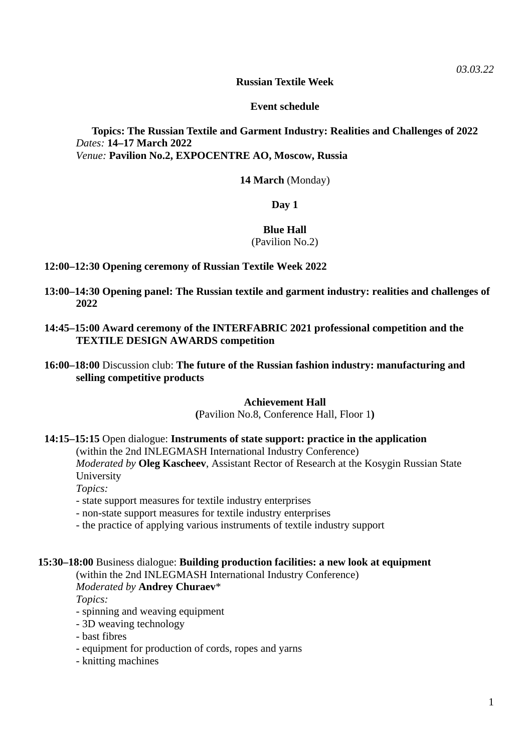#### **Russian Textile Week**

### **Event schedule**

# **Topics: The Russian Textile and Garment Industry: Realities and Challenges of 2022** *Dates:* **14–17 March 2022** *Venue:* **Pavilion No.2, EXPOCENTRE AO, Moscow, Russia**

**14 March** (Monday)

### **Day 1**

### **Blue Hall**

# (Pavilion No.2)

- **12:00–12:30 Opening ceremony of Russian Textile Week 2022**
- **13:00–14:30 Opening panel: The Russian textile and garment industry: realities and challenges of 2022**
- **14:45–15:00 Award ceremony of the INTERFABRIC 2021 professional competition and the TEXTILE DESIGN AWARDS competition**
- **16:00–18:00** Discussion club: **The future of the Russian fashion industry: manufacturing and selling competitive products**

#### **Achievement Hall**

**(**Pavilion No.8, Conference Hall, Floor 1**)**

**14:15–15:15** Open dialogue: **Instruments of state support: practice in the application** 

(within the 2nd INLEGMASH International Industry Conference)

*Moderated by* **Oleg Kascheev**, Assistant Rector of Research at the Kosygin Russian State University

*Topics:*

- state support measures for textile industry enterprises
- non-state support measures for textile industry enterprises
- the practice of applying various instruments of textile industry support

# **15:30–18:00** Business dialogue: **Building production facilities: a new look at equipment**

#### (within the 2nd INLEGMASH International Industry Conference) *Moderated by* **Andrey Churaev**\*

*Topics:*

- spinning and weaving equipment
- 3D weaving technology
- bast fibres
- equipment for production of cords, ropes and yarns
- knitting machines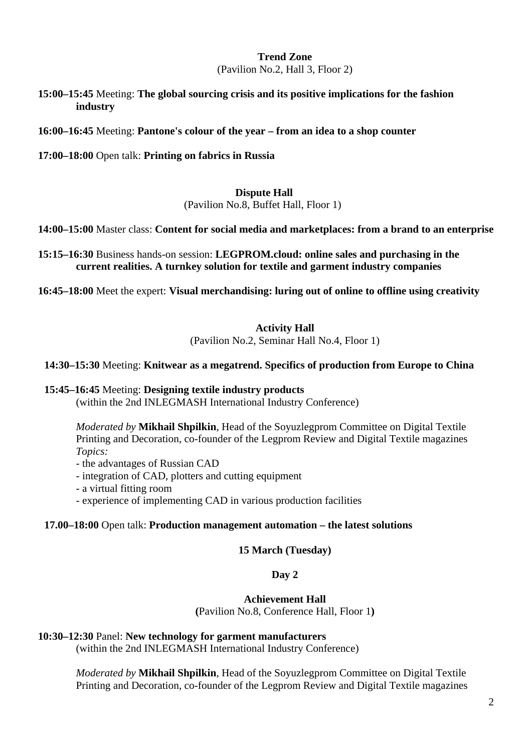#### **Trend Zone** (Pavilion No.2, Hall 3, Floor 2)

**15:00–15:45** Meeting: **The global sourcing crisis and its positive implications for the fashion industry** 

**16:00–16:45** Meeting: **Pantone's colour of the year – from an idea to a shop counter** 

**17:00–18:00** Open talk: **Printing on fabrics in Russia** 

### **Dispute Hall**

(Pavilion No.8, Buffet Hall, Floor 1)

**14:00–15:00** Master class: **Content for social media and marketplaces: from a brand to an enterprise**

**15:15–16:30** Business hands-on session: **LEGPROM.cloud: online sales and purchasing in the current realities. A turnkey solution for textile and garment industry companies**

**16:45–18:00** Meet the expert: **Visual merchandising: luring out of online to offline using creativity** 

# **Activity Hall**

(Pavilion No.2, Seminar Hall No.4, Floor 1)

### **14:30–15:30** Meeting: **Knitwear as a megatrend. Specifics of production from Europe to China**

### **15:45–16:45** Meeting: **Designing textile industry products**

(within the 2nd INLEGMASH International Industry Conference)

*Moderated by* **Mikhail Shpilkin**, Head of the Soyuzlegprom Committee on Digital Textile Printing and Decoration, co-founder of the Legprom Review and Digital Textile magazines *Topics:*

- the advantages of Russian CAD

- integration of CAD, plotters and cutting equipment
- a virtual fitting room
- experience of implementing CAD in various production facilities

### **17.00–18:00** Open talk: **Production management automation – the latest solutions**

### **15 March (Tuesday)**

### **Day 2**

**Achievement Hall**

**(**Pavilion No.8, Conference Hall, Floor 1**)**

# **10:30–12:30** Panel: **New technology for garment manufacturers**

(within the 2nd INLEGMASH International Industry Conference)

*Moderated by* **Mikhail Shpilkin**, Head of the Soyuzlegprom Committee on Digital Textile Printing and Decoration, co-founder of the Legprom Review and Digital Textile magazines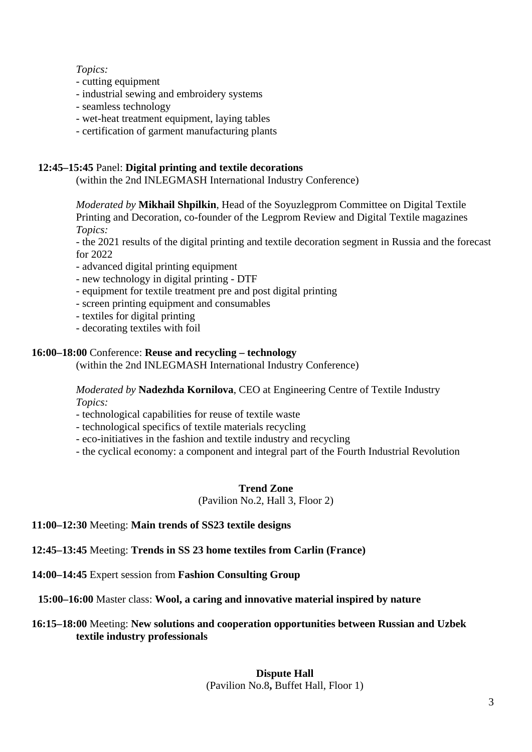## *Topics:*

- cutting equipment
- industrial sewing and embroidery systems
- seamless technology
- wet-heat treatment equipment, laying tables
- certification of garment manufacturing plants

# **12:45–15:45** Panel: **Digital printing and textile decorations**

(within the 2nd INLEGMASH International Industry Conference)

*Moderated by* **Mikhail Shpilkin**, Head of the Soyuzlegprom Committee on Digital Textile Printing and Decoration, co-founder of the Legprom Review and Digital Textile magazines *Topics:*

- the 2021 results of the digital printing and textile decoration segment in Russia and the forecast for 2022

- advanced digital printing equipment
- new technology in digital printing DTF
- equipment for textile treatment pre and post digital printing
- screen printing equipment and consumables
- textiles for digital printing
- decorating textiles with foil

## **16:00–18:00** Conference: **Reuse and recycling – technology**

(within the 2nd INLEGMASH International Industry Conference)

### *Moderated by* **Nadezhda Kornilova**, CEO at Engineering Centre of Textile Industry *Topics:*

- technological capabilities for reuse of textile waste

- technological specifics of textile materials recycling
- eco-initiatives in the fashion and textile industry and recycling
- the cyclical economy: a component and integral part of the Fourth Industrial Revolution

### **Trend Zone**

(Pavilion No.2, Hall 3, Floor 2)

### **11:00–12:30** Meeting: **Main trends of SS23 textile designs**

# **12:45–13:45** Meeting: **Trends in SS 23 home textiles from Carlin (France)**

**14:00–14:45** Expert session from **Fashion Consulting Group**

**15:00–16:00** Master class: **Wool, a caring and innovative material inspired by nature**

# **16:15–18:00** Meeting: **New solutions and cooperation opportunities between Russian and Uzbek textile industry professionals**

# **Dispute Hall** (Pavilion No.8**,** Buffet Hall, Floor 1)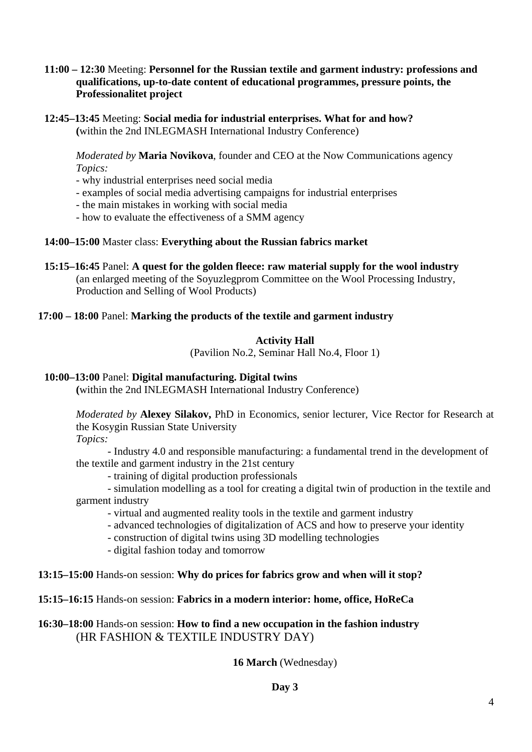# **11:00 – 12:30** Meeting: **Personnel for the Russian textile and garment industry: professions and qualifications, up-to-date content of educational programmes, pressure points, the Professionalitet project**

**12:45–13:45** Meeting: **Social media for industrial enterprises. What for and how? (**within the 2nd INLEGMASH International Industry Conference)

*Moderated by* **Maria Novikova**, founder and CEO at the Now Communications agency *Topics:*

- why industrial enterprises need social media
- examples of social media advertising campaigns for industrial enterprises
- the main mistakes in working with social media
- how to evaluate the effectiveness of a SMM agency

## **14:00–15:00** Master class: **Everything about the Russian fabrics market**

**15:15–16:45** Panel: **A quest for the golden fleece: raw material supply for the wool industry**  (an enlarged meeting of the Soyuzlegprom Committee on the Wool Processing Industry, Production and Selling of Wool Products)

## **17:00 – 18:00** Panel: **Marking the products of the textile and garment industry**

## **Activity Hall**

(Pavilion No.2, Seminar Hall No.4, Floor 1)

## **10:00–13:00** Panel: **Digital manufacturing. Digital twins**

**(**within the 2nd INLEGMASH International Industry Conference)

*Moderated by* **Alexey Silakov,** PhD in Economics, senior lecturer, Vice Rector for Research at the Kosygin Russian State University

*Topics:*

- Industry 4.0 and responsible manufacturing: a fundamental trend in the development of the textile and garment industry in the 21st century

- training of digital production professionals

- simulation modelling as a tool for creating a digital twin of production in the textile and garment industry

- virtual and augmented reality tools in the textile and garment industry
- advanced technologies of digitalization of ACS and how to preserve your identity
- construction of digital twins using 3D modelling technologies
- digital fashion today and tomorrow

# **13:15–15:00** Hands-on session: **Why do prices for fabrics grow and when will it stop?**

# **15:15–16:15** Hands-on session: **Fabrics in a modern interior: home, office, HoReCa**

# **16:30–18:00** Hands-on session: **How to find a new occupation in the fashion industry** (HR FASHION & TEXTILE INDUSTRY DAY)

# **16 March** (Wednesday)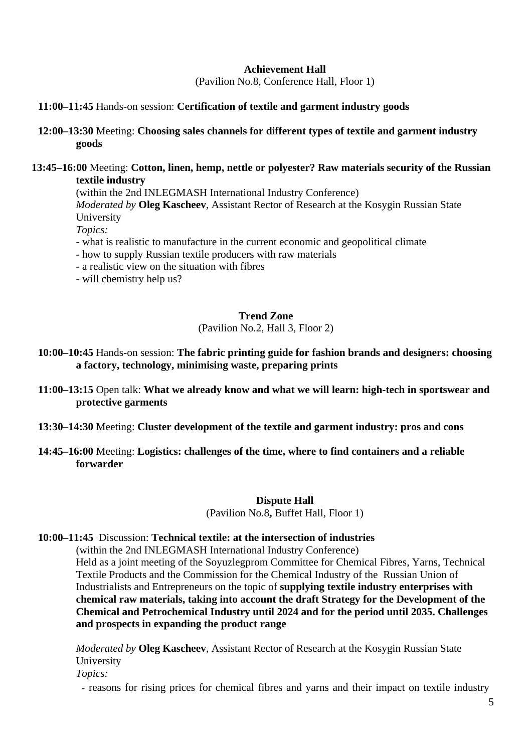### **Achievement Hall**

(Pavilion No.8, Conference Hall, Floor 1)

### **11:00–11:45** Hands-on session: **Certification of textile and garment industry goods**

**12:00–13:30** Meeting: **Choosing sales channels for different types of textile and garment industry goods** 

#### **13:45–16:00** Meeting: **Cotton, linen, hemp, nettle or polyester? Raw materials security of the Russian textile industry**

(within the 2nd INLEGMASH International Industry Conference)

*Moderated by* **Oleg Kascheev**, Assistant Rector of Research at the Kosygin Russian State University

*Topics:*

- what is realistic to manufacture in the current economic and geopolitical climate
- how to supply Russian textile producers with raw materials
- a realistic view on the situation with fibres
- will chemistry help us?

#### **Trend Zone**

(Pavilion No.2, Hall 3, Floor 2)

- **10:00–10:45** Hands-on session: **The fabric printing guide for fashion brands and designers: choosing a factory, technology, minimising waste, preparing prints**
- **11:00–13:15** Open talk: **What we already know and what we will learn: high-tech in sportswear and protective garments**
- **13:30–14:30** Meeting: **Cluster development of the textile and garment industry: pros and cons**
- **14:45–16:00** Meeting: **Logistics: challenges of the time, where to find containers and a reliable forwarder**

#### **Dispute Hall**

(Pavilion No.8**,** Buffet Hall, Floor 1)

#### **10:00–11:45** Discussion: **Technical textile: at the intersection of industries**

(within the 2nd INLEGMASH International Industry Conference) Held as a joint meeting of the Soyuzlegprom Committee for Chemical Fibres, Yarns, Technical Textile Products and the Commission for the Chemical Industry of the Russian Union of Industrialists and Entrepreneurs on the topic of **supplying textile industry enterprises with chemical raw materials, taking into account the draft Strategy for the Development of the Chemical and Petrochemical Industry until 2024 and for the period until 2035. Challenges and prospects in expanding the product range** 

*Moderated by* **Oleg Kascheev**, Assistant Rector of Research at the Kosygin Russian State University *Topics:* 

- reasons for rising prices for chemical fibres and yarns and their impact on textile industry